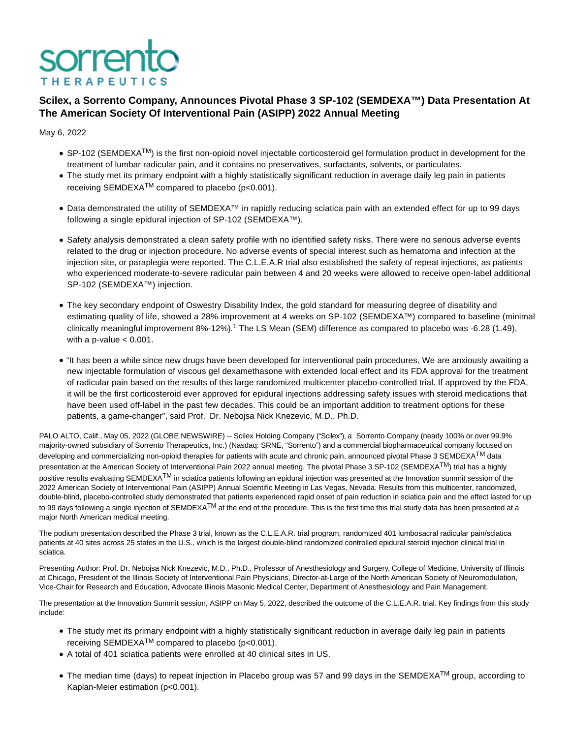

# **Scilex, a Sorrento Company, Announces Pivotal Phase 3 SP-102 (SEMDEXA™) Data Presentation At The American Society Of Interventional Pain (ASIPP) 2022 Annual Meeting**

May 6, 2022

- SP-102 (SEMDEXA<sup>TM</sup>) is the first non-opioid novel injectable corticosteroid gel formulation product in development for the treatment of lumbar radicular pain, and it contains no preservatives, surfactants, solvents, or particulates.
- The study met its primary endpoint with a highly statistically significant reduction in average daily leg pain in patients receiving SEMDEXA<sup>TM</sup> compared to placebo ( $p$ <0.001).
- Data demonstrated the utility of SEMDEXA™ in rapidly reducing sciatica pain with an extended effect for up to 99 days following a single epidural injection of SP-102 (SEMDEXA™).
- Safety analysis demonstrated a clean safety profile with no identified safety risks. There were no serious adverse events related to the drug or injection procedure. No adverse events of special interest such as hematoma and infection at the injection site, or paraplegia were reported. The C.L.E.A.R trial also established the safety of repeat injections, as patients who experienced moderate-to-severe radicular pain between 4 and 20 weeks were allowed to receive open-label additional SP-102 (SEMDEXA™) injection.
- The key secondary endpoint of Oswestry Disability Index, the gold standard for measuring degree of disability and estimating quality of life, showed a 28% improvement at 4 weeks on SP-102 (SEMDEXA™) compared to baseline (minimal clinically meaningful improvement 8%-12%).<sup>1</sup> The LS Mean (SEM) difference as compared to placebo was -6.28 (1.49), with a p-value  $< 0.001$ .
- "It has been a while since new drugs have been developed for interventional pain procedures. We are anxiously awaiting a new injectable formulation of viscous gel dexamethasone with extended local effect and its FDA approval for the treatment of radicular pain based on the results of this large randomized multicenter placebo-controlled trial. If approved by the FDA, it will be the first corticosteroid ever approved for epidural injections addressing safety issues with steroid medications that have been used off-label in the past few decades. This could be an important addition to treatment options for these patients, a game-changer", said Prof. Dr. Nebojsa Nick Knezevic, M.D., Ph.D.

PALO ALTO, Calif., May 05, 2022 (GLOBE NEWSWIRE) -- Scilex Holding Company ("Scilex"), a Sorrento Company (nearly 100% or over 99.9% majority-owned subsidiary of Sorrento Therapeutics, Inc.) (Nasdaq: SRNE, "Sorrento") and a commercial biopharmaceutical company focused on developing and commercializing non-opioid therapies for patients with acute and chronic pain, announced pivotal Phase 3 SEMDEXA<sup>TM</sup> data presentation at the American Society of Interventional Pain 2022 annual meeting. The pivotal Phase 3 SP-102 (SEMDEXA<sup>TM</sup>) trial has a highly positive results evaluating SEMDEXA<sup>TM</sup> in sciatica patients following an epidural injection was presented at the Innovation summit session of the 2022 American Society of Interventional Pain (ASIPP) Annual Scientific Meeting in Las Vegas, Nevada. Results from this multicenter, randomized, double-blind, placebo-controlled study demonstrated that patients experienced rapid onset of pain reduction in sciatica pain and the effect lasted for up to 99 days following a single injection of SEMDEXATM at the end of the procedure. This is the first time this trial study data has been presented at a major North American medical meeting.

The podium presentation described the Phase 3 trial, known as the C.L.E.A.R. trial program, randomized 401 lumbosacral radicular pain/sciatica patients at 40 sites across 25 states in the U.S., which is the largest double-blind randomized controlled epidural steroid injection clinical trial in sciatica.

Presenting Author: Prof. Dr. Nebojsa Nick Knezevic, M.D., Ph.D., Professor of Anesthesiology and Surgery, College of Medicine, University of Illinois at Chicago, President of the Illinois Society of Interventional Pain Physicians, Director-at-Large of the North American Society of Neuromodulation, Vice-Chair for Research and Education, Advocate Illinois Masonic Medical Center, Department of Anesthesiology and Pain Management.

The presentation at the Innovation Summit session, ASIPP on May 5, 2022, described the outcome of the C.L.E.A.R. trial. Key findings from this study include:

- The study met its primary endpoint with a highly statistically significant reduction in average daily leg pain in patients receiving SEMDEXA<sup>TM</sup> compared to placebo ( $p$ <0.001).
- A total of 401 sciatica patients were enrolled at 40 clinical sites in US.
- The median time (days) to repeat injection in Placebo group was 57 and 99 days in the SEMDEXA<sup>TM</sup> group, according to Kaplan-Meier estimation (p<0.001).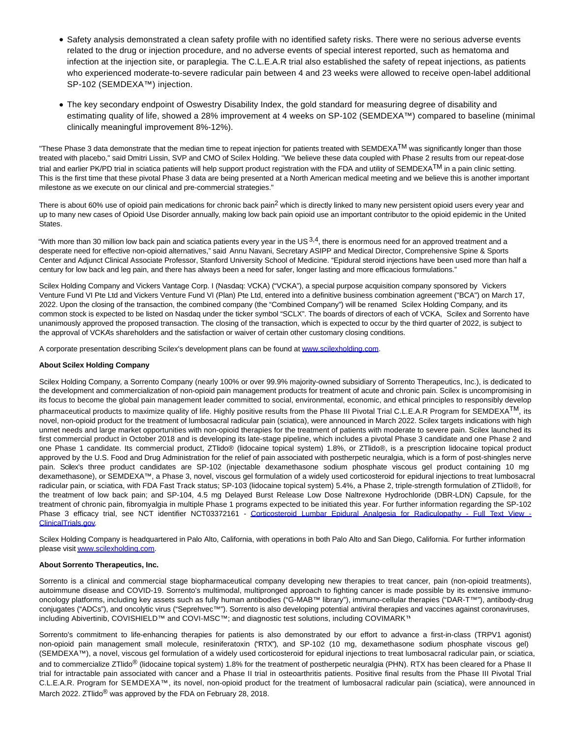- Safety analysis demonstrated a clean safety profile with no identified safety risks. There were no serious adverse events related to the drug or injection procedure, and no adverse events of special interest reported, such as hematoma and infection at the injection site, or paraplegia. The C.L.E.A.R trial also established the safety of repeat injections, as patients who experienced moderate-to-severe radicular pain between 4 and 23 weeks were allowed to receive open-label additional SP-102 (SEMDEXA™) injection.
- The key secondary endpoint of Oswestry Disability Index, the gold standard for measuring degree of disability and estimating quality of life, showed a 28% improvement at 4 weeks on SP-102 (SEMDEXA™) compared to baseline (minimal clinically meaningful improvement 8%-12%).

"These Phase 3 data demonstrate that the median time to repeat injection for patients treated with SEMDEXA<sup>TM</sup> was significantly longer than those treated with placebo," said Dmitri Lissin, SVP and CMO of Scilex Holding. "We believe these data coupled with Phase 2 results from our repeat-dose trial and earlier PK/PD trial in sciatica patients will help support product registration with the FDA and utility of SEMDEXA<sup>TM</sup> in a pain clinic setting. This is the first time that these pivotal Phase 3 data are being presented at a North American medical meeting and we believe this is another important milestone as we execute on our clinical and pre-commercial strategies."

There is about 60% use of opioid pain medications for chronic back pain<sup>2</sup> which is directly linked to many new persistent opioid users every year and up to many new cases of Opioid Use Disorder annually, making low back pain opioid use an important contributor to the opioid epidemic in the United States.

"With more than 30 million low back pain and sciatica patients every year in the US  $^{3,4}$ , there is enormous need for an approved treatment and a desperate need for effective non-opioid alternatives," said Annu Navani, Secretary ASIPP and Medical Director, Comprehensive Spine & Sports Center and Adjunct Clinical Associate Professor, Stanford University School of Medicine. "Epidural steroid injections have been used more than half a century for low back and leg pain, and there has always been a need for safer, longer lasting and more efficacious formulations."

Scilex Holding Company and Vickers Vantage Corp. I (Nasdaq: VCKA) ("VCKA"), a special purpose acquisition company sponsored by Vickers Venture Fund VI Pte Ltd and Vickers Venture Fund VI (Plan) Pte Ltd, entered into a definitive business combination agreement ("BCA") on March 17, 2022. Upon the closing of the transaction, the combined company (the "Combined Company") will be renamed Scilex Holding Company, and its common stock is expected to be listed on Nasdaq under the ticker symbol "SCLX". The boards of directors of each of VCKA, Scilex and Sorrento have unanimously approved the proposed transaction. The closing of the transaction, which is expected to occur by the third quarter of 2022, is subject to the approval of VCKA's shareholders and the satisfaction or waiver of certain other customary closing conditions.

A corporate presentation describing Scilex's development plans can be found at [www.scilexholding.com.](https://www.globenewswire.com/Tracker?data=12v4E6DNBf1eoM3DzRHk7aqSUR1K2XGRvqzO3X4LpRhbN0xz_G1i_TDea52CX7li_QQAEwg2oh62BY5PnHdmc5vzc6KVk62JEBzqH4kEAcM=)

## **About Scilex Holding Company**

Scilex Holding Company, a Sorrento Company (nearly 100% or over 99.9% majority-owned subsidiary of Sorrento Therapeutics, Inc.), is dedicated to the development and commercialization of non-opioid pain management products for treatment of acute and chronic pain. Scilex is uncompromising in its focus to become the global pain management leader committed to social, environmental, economic, and ethical principles to responsibly develop pharmaceutical products to maximize quality of life. Highly positive results from the Phase III Pivotal Trial C.L.E.A.R Program for SEMDEXA<sup>TM</sup>, its novel, non-opioid product for the treatment of lumbosacral radicular pain (sciatica), were announced in March 2022. Scilex targets indications with high unmet needs and large market opportunities with non-opioid therapies for the treatment of patients with moderate to severe pain. Scilex launched its first commercial product in October 2018 and is developing its late-stage pipeline, which includes a pivotal Phase 3 candidate and one Phase 2 and one Phase 1 candidate. Its commercial product, ZTlido® (lidocaine topical system) 1.8%, or ZTlido®, is a prescription lidocaine topical product approved by the U.S. Food and Drug Administration for the relief of pain associated with postherpetic neuralgia, which is a form of post-shingles nerve pain. Scilex's three product candidates are SP-102 (injectable dexamethasone sodium phosphate viscous gel product containing 10 mg dexamethasone), or SEMDEXA™, a Phase 3, novel, viscous gel formulation of a widely used corticosteroid for epidural injections to treat lumbosacral radicular pain, or sciatica, with FDA Fast Track status; SP-103 (lidocaine topical system) 5.4%, a Phase 2, triple-strength formulation of ZTlido®, for the treatment of low back pain; and SP-104, 4.5 mg Delayed Burst Release Low Dose Naltrexone Hydrochloride (DBR-LDN) Capsule, for the treatment of chronic pain, fibromyalgia in multiple Phase 1 programs expected to be initiated this year. For further information regarding the SP-102 Phase 3 efficacy trial, see NCT identifier NCT03372161 - [Corticosteroid Lumbar Epidural Analgesia for Radiculopathy - Full Text View -](https://www.globenewswire.com/Tracker?data=fvVNsPFM5DKQfxzIQNgqoVl62oNqpWmh0D4ihKsPUfjsAX8qqVTCE6vf9gJYM6LRHdsy7UI7SBjN7xUmHvBnNPdMBlNf1qe_s_GJ5srNEvoR-rYR7n64wvdAlJzAEju1gjGfUF6rUPDLW5x2djtSPkNaj63z70oD6Jw7zsXM6ElpmBk1BuxYEfQhPcCrOzMpAJBl3R5utwAPuDjF8Tqe0ejsVd4bEgGgQtgiT_v0fRc=) ClinicalTrials.gov.

Scilex Holding Company is headquartered in Palo Alto, California, with operations in both Palo Alto and San Diego, California. For further information please visi[t www.scilexholding.com.](https://www.globenewswire.com/Tracker?data=12v4E6DNBf1eoM3DzRHk7aqSUR1K2XGRvqzO3X4LpRgp-RhPyqTLMRpRpV0RxLFJcubV_-qzzXAKEGXW_DcaVn9tuSt3-_kg10nxMVhqJF8=)

### **About Sorrento Therapeutics, Inc.**

Sorrento is a clinical and commercial stage biopharmaceutical company developing new therapies to treat cancer, pain (non-opioid treatments), autoimmune disease and COVID-19. Sorrento's multimodal, multipronged approach to fighting cancer is made possible by its extensive immunooncology platforms, including key assets such as fully human antibodies ("G-MAB™ library"), immuno-cellular therapies ("DAR-T™"), antibody-drug conjugates ("ADCs"), and oncolytic virus ("Seprehvec™"). Sorrento is also developing potential antiviral therapies and vaccines against coronaviruses, including Abivertinib, COVISHIELD™ and COVI-MSC™; and diagnostic test solutions, including COVIMARK™

Sorrento's commitment to life-enhancing therapies for patients is also demonstrated by our effort to advance a first-in-class (TRPV1 agonist) non-opioid pain management small molecule, resiniferatoxin ("RTX"), and SP-102 (10 mg, dexamethasone sodium phosphate viscous gel) (SEMDEXA™), a novel, viscous gel formulation of a widely used corticosteroid for epidural injections to treat lumbosacral radicular pain, or sciatica, and to commercialize ZTlido® (lidocaine topical system) 1.8% for the treatment of postherpetic neuralgia (PHN). RTX has been cleared for a Phase II trial for intractable pain associated with cancer and a Phase II trial in osteoarthritis patients. Positive final results from the Phase III Pivotal Trial C.L.E.A.R. Program for SEMDEXA™, its novel, non-opioid product for the treatment of lumbosacral radicular pain (sciatica), were announced in March 2022. ZTlido<sup>®</sup> was approved by the FDA on February 28, 2018.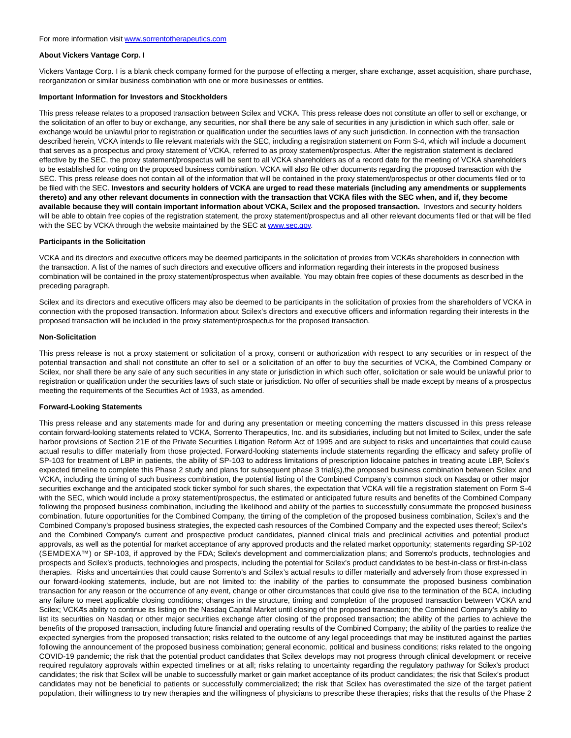## **About Vickers Vantage Corp. I**

Vickers Vantage Corp. I is a blank check company formed for the purpose of effecting a merger, share exchange, asset acquisition, share purchase, reorganization or similar business combination with one or more businesses or entities.

#### **Important Information for Investors and Stockholders**

This press release relates to a proposed transaction between Scilex and VCKA. This press release does not constitute an offer to sell or exchange, or the solicitation of an offer to buy or exchange, any securities, nor shall there be any sale of securities in any jurisdiction in which such offer, sale or exchange would be unlawful prior to registration or qualification under the securities laws of any such jurisdiction. In connection with the transaction described herein, VCKA intends to file relevant materials with the SEC, including a registration statement on Form S-4, which will include a document that serves as a prospectus and proxy statement of VCKA, referred to as proxy statement/prospectus. After the registration statement is declared effective by the SEC, the proxy statement/prospectus will be sent to all VCKA shareholders as of a record date for the meeting of VCKA shareholders to be established for voting on the proposed business combination. VCKA will also file other documents regarding the proposed transaction with the SEC. This press release does not contain all of the information that will be contained in the proxy statement/prospectus or other documents filed or to be filed with the SEC. **Investors and security holders of VCKA are urged to read these materials (including any amendments or supplements thereto) and any other relevant documents in connection with the transaction that VCKA files with the SEC when, and if, they become available because they will contain important information about VCKA, Scilex and the proposed transaction.** Investors and security holders will be able to obtain free copies of the registration statement, the proxy statement/prospectus and all other relevant documents filed or that will be filed with the SEC by VCKA through the website maintained by the SEC a[t www.sec.gov.](https://www.globenewswire.com/Tracker?data=yroPq43vM41cPu8dcxxO9oK65kwSYpX5GY7qB62Wz-bxrmMNQ0duYp4RMSCUcuEhENeUNoK03UZEck-VjHbWBQ==)

#### **Participants in the Solicitation**

VCKA and its directors and executive officers may be deemed participants in the solicitation of proxies from VCKA's shareholders in connection with the transaction. A list of the names of such directors and executive officers and information regarding their interests in the proposed business combination will be contained in the proxy statement/prospectus when available. You may obtain free copies of these documents as described in the preceding paragraph.

Scilex and its directors and executive officers may also be deemed to be participants in the solicitation of proxies from the shareholders of VCKA in connection with the proposed transaction. Information about Scilex's directors and executive officers and information regarding their interests in the proposed transaction will be included in the proxy statement/prospectus for the proposed transaction.

# **Non-Solicitation**

This press release is not a proxy statement or solicitation of a proxy, consent or authorization with respect to any securities or in respect of the potential transaction and shall not constitute an offer to sell or a solicitation of an offer to buy the securities of VCKA, the Combined Company or Scilex, nor shall there be any sale of any such securities in any state or jurisdiction in which such offer, solicitation or sale would be unlawful prior to registration or qualification under the securities laws of such state or jurisdiction. No offer of securities shall be made except by means of a prospectus meeting the requirements of the Securities Act of 1933, as amended.

#### **Forward-Looking Statements**

This press release and any statements made for and during any presentation or meeting concerning the matters discussed in this press release contain forward-looking statements related to VCKA, Sorrento Therapeutics, Inc. and its subsidiaries, including but not limited to Scilex, under the safe harbor provisions of Section 21E of the Private Securities Litigation Reform Act of 1995 and are subject to risks and uncertainties that could cause actual results to differ materially from those projected. Forward-looking statements include statements regarding the efficacy and safety profile of SP-103 for treatment of LBP in patients, the ability of SP-103 to address limitations of prescription lidocaine patches in treating acute LBP, Scilex's expected timeline to complete this Phase 2 study and plans for subsequent phase 3 trial(s),the proposed business combination between Scilex and VCKA, including the timing of such business combination, the potential listing of the Combined Company's common stock on Nasdaq or other major securities exchange and the anticipated stock ticker symbol for such shares, the expectation that VCKA will file a registration statement on Form S-4 with the SEC, which would include a proxy statement/prospectus, the estimated or anticipated future results and benefits of the Combined Company following the proposed business combination, including the likelihood and ability of the parties to successfully consummate the proposed business combination, future opportunities for the Combined Company, the timing of the completion of the proposed business combination, Scilex's and the Combined Company's proposed business strategies, the expected cash resources of the Combined Company and the expected uses thereof; Scilex's and the Combined Company's current and prospective product candidates, planned clinical trials and preclinical activities and potential product approvals, as well as the potential for market acceptance of any approved products and the related market opportunity; statements regarding SP-102 (SEMDEXA™) or SP-103, if approved by the FDA; Scilex's development and commercialization plans; and Sorrento's products, technologies and prospects and Scilex's products, technologies and prospects, including the potential for Scilex's product candidates to be best-in-class or first-in-class therapies. Risks and uncertainties that could cause Sorrento's and Scilex's actual results to differ materially and adversely from those expressed in our forward-looking statements, include, but are not limited to: the inability of the parties to consummate the proposed business combination transaction for any reason or the occurrence of any event, change or other circumstances that could give rise to the termination of the BCA, including any failure to meet applicable closing conditions; changes in the structure, timing and completion of the proposed transaction between VCKA and Scilex; VCKA's ability to continue its listing on the Nasdaq Capital Market until closing of the proposed transaction; the Combined Company's ability to list its securities on Nasdaq or other major securities exchange after closing of the proposed transaction; the ability of the parties to achieve the benefits of the proposed transaction, including future financial and operating results of the Combined Company; the ability of the parties to realize the expected synergies from the proposed transaction; risks related to the outcome of any legal proceedings that may be instituted against the parties following the announcement of the proposed business combination; general economic, political and business conditions; risks related to the ongoing COVID-19 pandemic; the risk that the potential product candidates that Scilex develops may not progress through clinical development or receive required regulatory approvals within expected timelines or at all; risks relating to uncertainty regarding the regulatory pathway for Scilex's product candidates; the risk that Scilex will be unable to successfully market or gain market acceptance of its product candidates; the risk that Scilex's product candidates may not be beneficial to patients or successfully commercialized; the risk that Scilex has overestimated the size of the target patient population, their willingness to try new therapies and the willingness of physicians to prescribe these therapies; risks that the results of the Phase 2